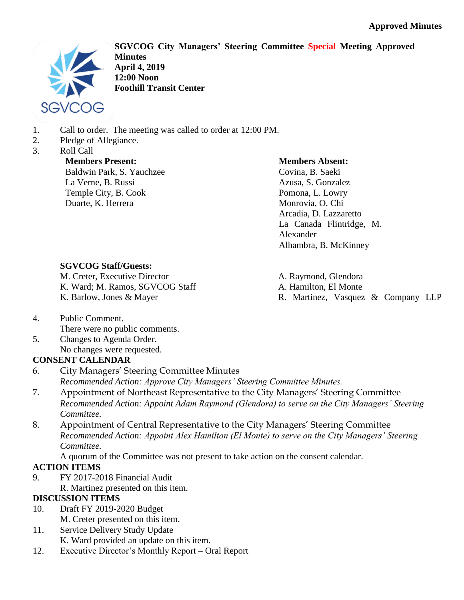

**SGVCOG City Managers' Steering Committee Special Meeting Approved Minutes April 4, 2019 12:00 Noon Foothill Transit Center**

- 1. Call to order. The meeting was called to order at 12:00 PM.
- 2. Pledge of Allegiance.
- 3. Roll Call

**Members Present:** Baldwin Park, S. Yauchzee La Verne, B. Russi Temple City, B. Cook Duarte, K. Herrera

### **Members Absent:**

Covina, B. Saeki Azusa, S. Gonzalez Pomona, L. Lowry Monrovia, O. Chi Arcadia, D. Lazzaretto La Canada Flintridge, M. Alexander Alhambra, B. McKinney

### **SGVCOG Staff/Guests:**

M. Creter, Executive Director K. Ward; M. Ramos, SGVCOG Staff K. Barlow, Jones & Mayer

A. Raymond, Glendora A. Hamilton, El Monte R. Martinez, Vasquez & Company LLP

- 4. Public Comment. There were no public comments.
- 5. Changes to Agenda Order. No changes were requested.

# **CONSENT CALENDAR**

- 6. City Managers' Steering Committee Minutes *Recommended Action: Approve City Managers' Steering Committee Minutes.*
- 7. Appointment of Northeast Representative to the City Managers' Steering Committee *Recommended Action: Appoint Adam Raymond (Glendora) to serve on the City Managers' Steering Committee.*
- 8. Appointment of Central Representative to the City Managers' Steering Committee *Recommended Action: Appoint Alex Hamilton (El Monte) to serve on the City Managers' Steering Committee.*

A quorum of the Committee was not present to take action on the consent calendar.

# **ACTION ITEMS**

- 9. FY 2017-2018 Financial Audit
- R. Martinez presented on this item.

### **DISCUSSION ITEMS**

- 10. Draft FY 2019-2020 Budget M. Creter presented on this item.
- 11. Service Delivery Study Update K. Ward provided an update on this item.
- 12. Executive Director's Monthly Report Oral Report